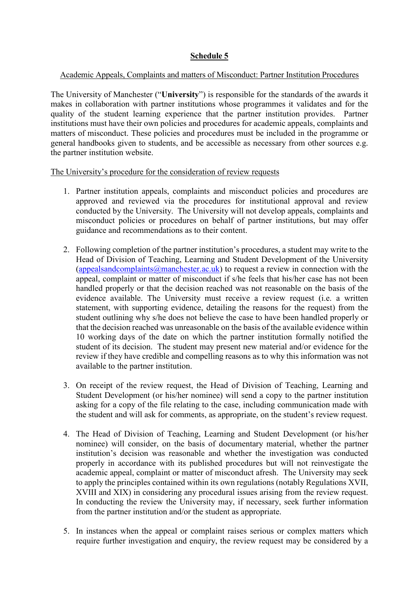## **Schedule 5**

## Academic Appeals, Complaints and matters of Misconduct: Partner Institution Procedures

The University of Manchester ("**University**") is responsible for the standards of the awards it makes in collaboration with partner institutions whose programmes it validates and for the quality of the student learning experience that the partner institution provides. Partner institutions must have their own policies and procedures for academic appeals, complaints and matters of misconduct. These policies and procedures must be included in the programme or general handbooks given to students, and be accessible as necessary from other sources e.g. the partner institution website.

The University's procedure for the consideration of review requests

- 1. Partner institution appeals, complaints and misconduct policies and procedures are approved and reviewed via the procedures for institutional approval and review conducted by the University. The University will not develop appeals, complaints and misconduct policies or procedures on behalf of partner institutions, but may offer guidance and recommendations as to their content.
- 2. Following completion of the partner institution's procedures, a student may write to the Head of Division of Teaching, Learning and Student Development of the University (appealsandcomplaints  $\omega$  manchester.ac.uk) to request a review in connection with the appeal, complaint or matter of misconduct if s/he feels that his/her case has not been handled properly or that the decision reached was not reasonable on the basis of the evidence available. The University must receive a review request (i.e. a written statement, with supporting evidence, detailing the reasons for the request) from the student outlining why s/he does not believe the case to have been handled properly or that the decision reached was unreasonable on the basis of the available evidence within 10 working days of the date on which the partner institution formally notified the student of its decision. The student may present new material and/or evidence for the review if they have credible and compelling reasons as to why this information was not available to the partner institution.
- 3. On receipt of the review request, the Head of Division of Teaching, Learning and Student Development (or his/her nominee) will send a copy to the partner institution asking for a copy of the file relating to the case, including communication made with the student and will ask for comments, as appropriate, on the student's review request.
- 4. The Head of Division of Teaching, Learning and Student Development (or his/her nominee) will consider, on the basis of documentary material, whether the partner institution's decision was reasonable and whether the investigation was conducted properly in accordance with its published procedures but will not reinvestigate the academic appeal, complaint or matter of misconduct afresh. The University may seek to apply the principles contained within its own regulations (notably Regulations XVII, XVIII and XIX) in considering any procedural issues arising from the review request. In conducting the review the University may, if necessary, seek further information from the partner institution and/or the student as appropriate.
- 5. In instances when the appeal or complaint raises serious or complex matters which require further investigation and enquiry, the review request may be considered by a